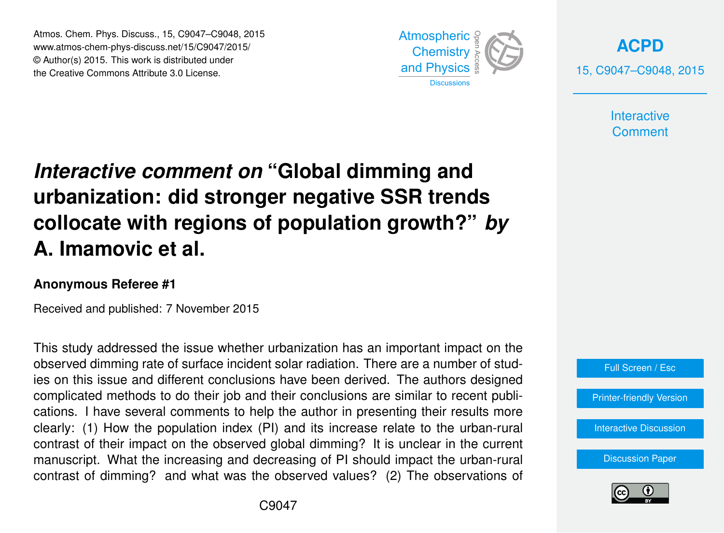Atmos. Chem. Phys. Discuss., 15, C9047–C9048, 2015 www.atmos-chem-phys-discuss.net/15/C9047/2015/ © Author(s) 2015. This work is distributed under the Creative Commons Attribute 3.0 License.



**[ACPD](http://www.atmos-chem-phys-discuss.net)** 15, C9047–C9048, 2015

> **Interactive Comment**

## *Interactive comment on* **"Global dimming and urbanization: did stronger negative SSR trends collocate with regions of population growth?"** *by* **A. Imamovic et al.**

## **Anonymous Referee #1**

Received and published: 7 November 2015

This study addressed the issue whether urbanization has an important impact on the observed dimming rate of surface incident solar radiation. There are a number of studies on this issue and different conclusions have been derived. The authors designed complicated methods to do their job and their conclusions are similar to recent publications. I have several comments to help the author in presenting their results more clearly: (1) How the population index (PI) and its increase relate to the urban-rural contrast of their impact on the observed global dimming? It is unclear in the current manuscript. What the increasing and decreasing of PI should impact the urban-rural contrast of dimming? and what was the observed values? (2) The observations of